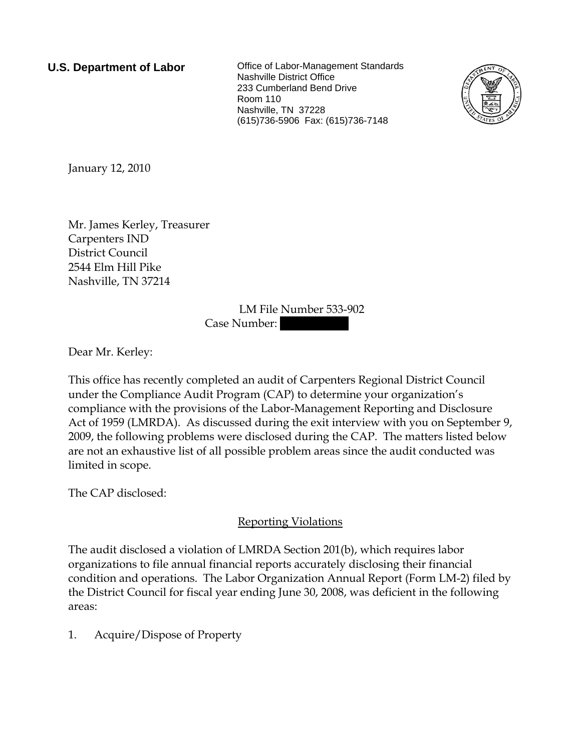**U.S. Department of Labor Collect** Office of Labor-Management Standards Nashville District Office 233 Cumberland Bend Drive Room 110 Nashville, TN 37228 (615)736-5906 Fax: (615)736-7148



January 12, 2010

Mr. James Kerley, Treasurer Carpenters IND District Council 2544 Elm Hill Pike Nashville, TN 37214

> LM File Number 533-902 Case Number:

Dear Mr. Kerley:

This office has recently completed an audit of Carpenters Regional District Council under the Compliance Audit Program (CAP) to determine your organization's compliance with the provisions of the Labor-Management Reporting and Disclosure Act of 1959 (LMRDA). As discussed during the exit interview with you on September 9, 2009, the following problems were disclosed during the CAP. The matters listed below are not an exhaustive list of all possible problem areas since the audit conducted was limited in scope.

The CAP disclosed:

## Reporting Violations

The audit disclosed a violation of LMRDA Section 201(b), which requires labor organizations to file annual financial reports accurately disclosing their financial condition and operations. The Labor Organization Annual Report (Form LM-2) filed by the District Council for fiscal year ending June 30, 2008, was deficient in the following areas:

1. Acquire/Dispose of Property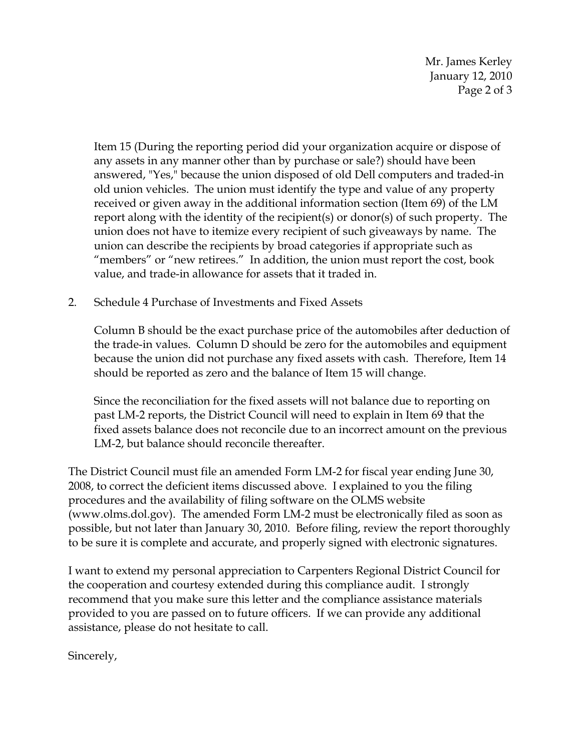Mr. James Kerley January 12, 2010 Page 2 of 3

Item 15 (During the reporting period did your organization acquire or dispose of any assets in any manner other than by purchase or sale?) should have been answered, "Yes," because the union disposed of old Dell computers and traded-in old union vehicles. The union must identify the type and value of any property received or given away in the additional information section (Item 69) of the LM report along with the identity of the recipient(s) or donor(s) of such property. The union does not have to itemize every recipient of such giveaways by name. The union can describe the recipients by broad categories if appropriate such as "members" or "new retirees." In addition, the union must report the cost, book value, and trade-in allowance for assets that it traded in.

2. Schedule 4 Purchase of Investments and Fixed Assets

Column B should be the exact purchase price of the automobiles after deduction of the trade-in values. Column D should be zero for the automobiles and equipment because the union did not purchase any fixed assets with cash. Therefore, Item 14 should be reported as zero and the balance of Item 15 will change.

Since the reconciliation for the fixed assets will not balance due to reporting on past LM-2 reports, the District Council will need to explain in Item 69 that the fixed assets balance does not reconcile due to an incorrect amount on the previous LM-2, but balance should reconcile thereafter.

The District Council must file an amended Form LM-2 for fiscal year ending June 30, 2008, to correct the deficient items discussed above. I explained to you the filing procedures and the availability of filing software on the OLMS website (www.olms.dol.gov). The amended Form LM-2 must be electronically filed as soon as possible, but not later than January 30, 2010. Before filing, review the report thoroughly to be sure it is complete and accurate, and properly signed with electronic signatures.

I want to extend my personal appreciation to Carpenters Regional District Council for the cooperation and courtesy extended during this compliance audit. I strongly recommend that you make sure this letter and the compliance assistance materials provided to you are passed on to future officers. If we can provide any additional assistance, please do not hesitate to call.

Sincerely,